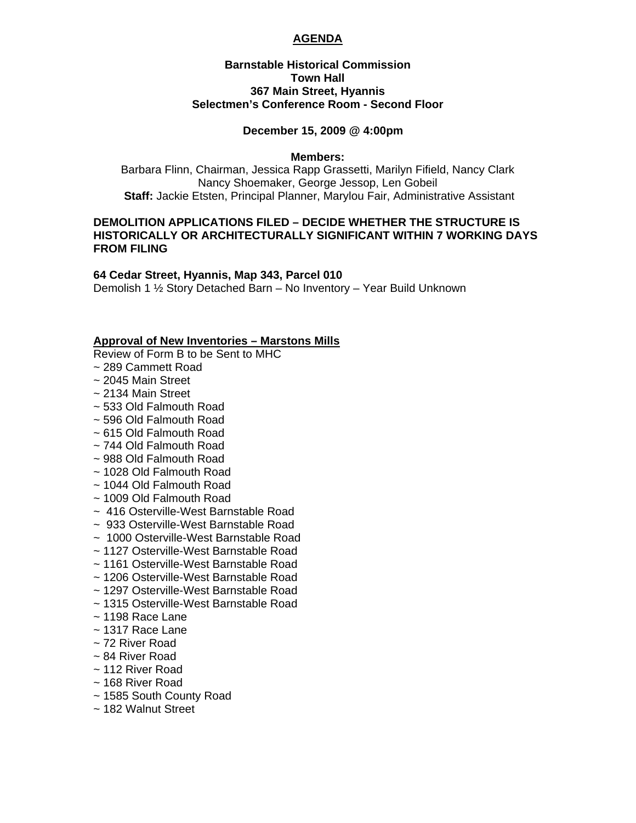## **AGENDA**

## **Barnstable Historical Commission Town Hall 367 Main Street, Hyannis Selectmen's Conference Room - Second Floor**

#### **December 15, 2009 @ 4:00pm**

#### **Members:**

Barbara Flinn, Chairman, Jessica Rapp Grassetti, Marilyn Fifield, Nancy Clark Nancy Shoemaker, George Jessop, Len Gobeil **Staff:** Jackie Etsten, Principal Planner, Marylou Fair, Administrative Assistant

## **DEMOLITION APPLICATIONS FILED – DECIDE WHETHER THE STRUCTURE IS HISTORICALLY OR ARCHITECTURALLY SIGNIFICANT WITHIN 7 WORKING DAYS FROM FILING**

#### **64 Cedar Street, Hyannis, Map 343, Parcel 010**

Demolish 1 ½ Story Detached Barn – No Inventory – Year Build Unknown

#### **Approval of New Inventories – Marstons Mills**

Review of Form B to be Sent to MHC

- ~ 289 Cammett Road
- ~ 2045 Main Street
- ~ 2134 Main Street
- ~ 533 Old Falmouth Road
- ~ 596 Old Falmouth Road
- ~ 615 Old Falmouth Road
- ~ 744 Old Falmouth Road
- ~ 988 Old Falmouth Road
- ~ 1028 Old Falmouth Road
- ~ 1044 Old Falmouth Road
- ~ 1009 Old Falmouth Road
- ~ 416 Osterville-West Barnstable Road
- ~ 933 Osterville-West Barnstable Road
- ~ 1000 Osterville-West Barnstable Road
- ~ 1127 Osterville-West Barnstable Road
- ~ 1161 Osterville-West Barnstable Road
- ~ 1206 Osterville-West Barnstable Road
- ~ 1297 Osterville-West Barnstable Road
- ~ 1315 Osterville-West Barnstable Road
- $\sim$  1198 Race Lane
- $\sim$  1317 Race Lane
- ~ 72 River Road
- ~ 84 River Road
- ~ 112 River Road
- ~ 168 River Road
- ~ 1585 South County Road
- ~ 182 Walnut Street